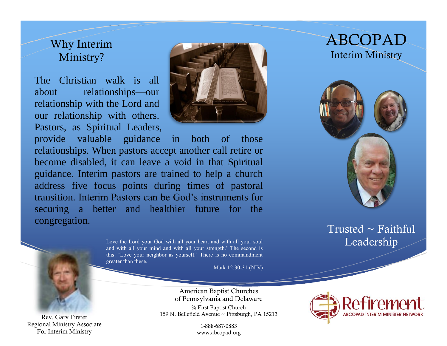### Why Interim Ministry?

The Christian walk is all about relationships—our relationship with the Lord and our relationship with others. Pastors, as Spiritual Leaders,



provide valuable guidance in both of those relationships. When pastors accept another call retire or become disabled, it can leave a void in that Spiritual guidance. Interim pastors are trained to help a church address five focus points during times of pastoral transition. Interim Pastors can be God's instruments for securing a better and healthier future for the congregation.

> Love the Lord your God with all your heart and with all your soul and with all  $\Gamma$   $\Gamma$   $\Gamma$   $\Gamma$  and with all your mind and with all your strength.' The second is this: 'Love your neighbor as yourself.' There is no commandment greater than these.

> > Mark 12:30-31 (NIV)

American Baptist Churches of Pennsylvania and Delaware

% First Baptist Church 159 N. Bellefield Avenue ~ Pittsburgh, PA 15213

> 1-888-687-0883 www.abcopad.org

## ABCOPAD Interim Ministry



Trusted  $\sim$  Faithful



Rev. Gary Firster Regional Ministry Associate For Interim Ministry